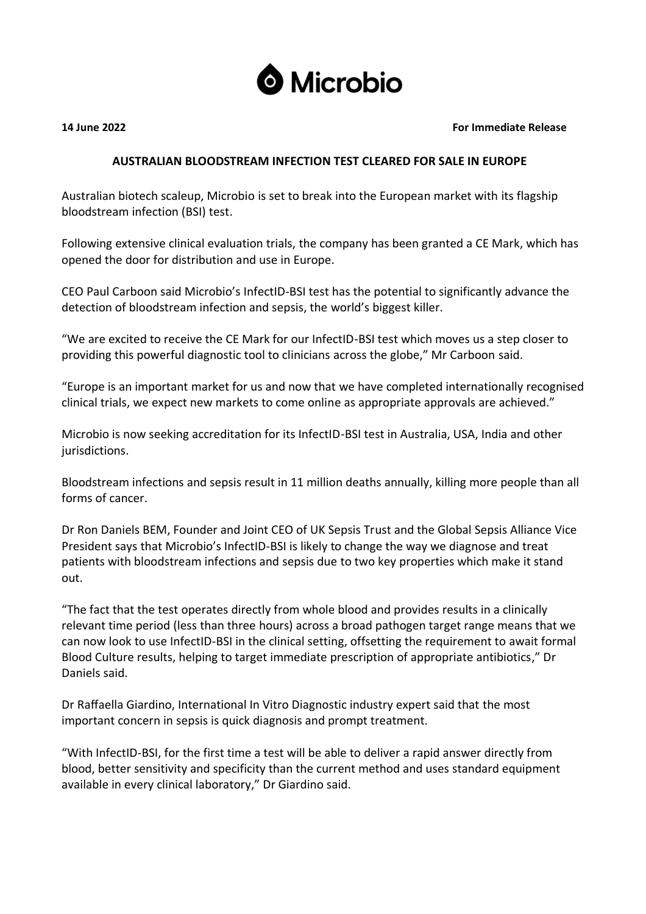

## **14 June 2022 For Immediate Release**

# **AUSTRALIAN BLOODSTREAM INFECTION TEST CLEARED FOR SALE IN EUROPE**

Australian biotech scaleup, Microbio is set to break into the European market with its flagship bloodstream infection (BSI) test.

Following extensive clinical evaluation trials, the company has been granted a CE Mark, which has opened the door for distribution and use in Europe.

CEO Paul Carboon said Microbio's InfectID-BSI test has the potential to significantly advance the detection of bloodstream infection and sepsis, the world's biggest killer.

"We are excited to receive the CE Mark for our InfectID-BSI test which moves us a step closer to providing this powerful diagnostic tool to clinicians across the globe," Mr Carboon said.

"Europe is an important market for us and now that we have completed internationally recognised clinical trials, we expect new markets to come online as appropriate approvals are achieved."

Microbio is now seeking accreditation for its InfectID-BSI test in Australia, USA, India and other jurisdictions.

Bloodstream infections and sepsis result in 11 million deaths annually, killing more people than all forms of cancer.

Dr Ron Daniels BEM, Founder and Joint CEO of UK Sepsis Trust and the Global Sepsis Alliance Vice President says that Microbio's InfectID-BSI is likely to change the way we diagnose and treat patients with bloodstream infections and sepsis due to two key properties which make it stand out.

"The fact that the test operates directly from whole blood and provides results in a clinically relevant time period (less than three hours) across a broad pathogen target range means that we can now look to use InfectID-BSI in the clinical setting, offsetting the requirement to await formal Blood Culture results, helping to target immediate prescription of appropriate antibiotics," Dr Daniels said.

Dr Raffaella Giardino, International In Vitro Diagnostic industry expert said that the most important concern in sepsis is quick diagnosis and prompt treatment.

"With InfectID-BSI, for the first time a test will be able to deliver a rapid answer directly from blood, better sensitivity and specificity than the current method and uses standard equipment available in every clinical laboratory," Dr Giardino said.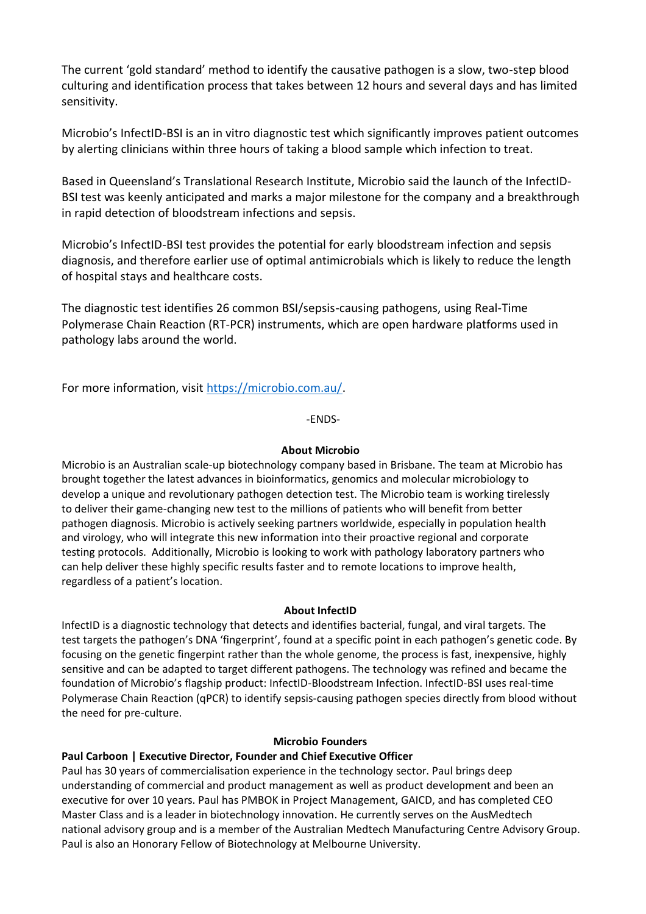The current 'gold standard' method to identify the causative pathogen is a slow, two-step blood culturing and identification process that takes between 12 hours and several days and has limited sensitivity.

Microbio's InfectID-BSI is an in vitro diagnostic test which significantly improves patient outcomes by alerting clinicians within three hours of taking a blood sample which infection to treat.

Based in Queensland's Translational Research Institute, Microbio said the launch of the InfectID-BSI test was keenly anticipated and marks a major milestone for the company and a breakthrough in rapid detection of bloodstream infections and sepsis.

Microbio's InfectID-BSI test provides the potential for early bloodstream infection and sepsis diagnosis, and therefore earlier use of optimal antimicrobials which is likely to reduce the length of hospital stays and healthcare costs.

The diagnostic test identifies 26 common BSI/sepsis-causing pathogens, using Real-Time Polymerase Chain Reaction (RT-PCR) instruments, which are open hardware platforms used in pathology labs around the world.

For more information, visit [https://microbio.com.au/.](https://microbio.com.au/)

-ENDS-

## **About Microbio**

Microbio is an Australian scale-up biotechnology company based in Brisbane. The team at Microbio has brought together the latest advances in bioinformatics, genomics and molecular microbiology to develop a unique and revolutionary pathogen detection test. The Microbio team is working tirelessly to deliver their game-changing new test to the millions of patients who will benefit from better pathogen diagnosis. Microbio is actively seeking partners worldwide, especially in population health and virology, who will integrate this new information into their proactive regional and corporate testing protocols.  Additionally, Microbio is looking to work with pathology laboratory partners who can help deliver these highly specific results faster and to remote locations to improve health, regardless of a patient's location.

### **About InfectID**

InfectID is a diagnostic technology that detects and identifies bacterial, fungal, and viral targets. The test targets the pathogen's DNA 'fingerprint', found at a specific point in each pathogen's genetic code. By focusing on the genetic fingerpint rather than the whole genome, the process is fast, inexpensive, highly sensitive and can be adapted to target different pathogens. The technology was refined and became the foundation of Microbio's flagship product: InfectID-Bloodstream Infection. InfectID-BSI uses real-time Polymerase Chain Reaction (qPCR) to identify sepsis-causing pathogen species directly from blood without the need for pre-culture.

# **Microbio Founders**

# **Paul Carboon | Executive Director, Founder and Chief Executive Officer**

Paul has 30 years of commercialisation experience in the technology sector. Paul brings deep understanding of commercial and product management as well as product development and been an executive for over 10 years. Paul has PMBOK in Project Management, GAICD, and has completed CEO Master Class and is a leader in biotechnology innovation. He currently serves on the AusMedtech national advisory group and is a member of the Australian Medtech Manufacturing Centre Advisory Group. Paul is also an Honorary Fellow of Biotechnology at Melbourne University.